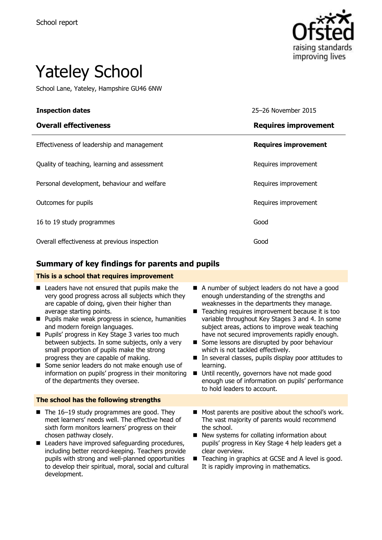

# Yateley School

School Lane, Yateley, Hampshire GU46 6NW

| <b>Inspection dates</b>                      | 25-26 November 2015         |
|----------------------------------------------|-----------------------------|
| <b>Overall effectiveness</b>                 | <b>Requires improvement</b> |
| Effectiveness of leadership and management   | <b>Requires improvement</b> |
| Quality of teaching, learning and assessment | Requires improvement        |
| Personal development, behaviour and welfare  | Requires improvement        |
| Outcomes for pupils                          | Requires improvement        |
| 16 to 19 study programmes                    | Good                        |
| Overall effectiveness at previous inspection | Good                        |

### **Summary of key findings for parents and pupils**

#### **This is a school that requires improvement**

| Leaders have not ensured that pupils make the<br>very good progress across all subjects which they<br>are capable of doing, given their higher than<br>average starting points.<br>Pupils make weak progress in science, humanities<br>$\blacksquare$<br>and modern foreign languages.<br>Pupils' progress in Key Stage 3 varies too much<br>$\blacksquare$<br>between subjects. In some subjects, only a very<br>small proportion of pupils make the strong<br>progress they are capable of making.<br>Some senior leaders do not make enough use of<br>information on pupils' progress in their monitoring<br>of the departments they oversee. | A number of subject leaders do not have a good<br>enough understanding of the strengths and<br>weaknesses in the departments they manage.<br>Teaching requires improvement because it is too<br>variable throughout Key Stages 3 and 4. In some<br>subject areas, actions to improve weak teaching<br>have not secured improvements rapidly enough.<br>Some lessons are disrupted by poor behaviour<br>which is not tackled effectively.<br>In several classes, pupils display poor attitudes to<br>learning.<br>Until recently, governors have not made good<br>■<br>enough use of information on pupils' performance<br>to hold leaders to account. |
|--------------------------------------------------------------------------------------------------------------------------------------------------------------------------------------------------------------------------------------------------------------------------------------------------------------------------------------------------------------------------------------------------------------------------------------------------------------------------------------------------------------------------------------------------------------------------------------------------------------------------------------------------|-------------------------------------------------------------------------------------------------------------------------------------------------------------------------------------------------------------------------------------------------------------------------------------------------------------------------------------------------------------------------------------------------------------------------------------------------------------------------------------------------------------------------------------------------------------------------------------------------------------------------------------------------------|
| The school has the following strengths                                                                                                                                                                                                                                                                                                                                                                                                                                                                                                                                                                                                           |                                                                                                                                                                                                                                                                                                                                                                                                                                                                                                                                                                                                                                                       |
| The 16–19 study programmes are good. They<br>п<br>meet learners' needs well. The effective head of<br>sixth form monitors learners' progress on their<br>chosen pathway closely.<br>Leaders have improved safeguarding procedures,<br>п<br>including better record-keeping. Teachers provide<br>pupils with strong and well-planned opportunities<br>to develop their spiritual, moral, social and cultural<br>development.                                                                                                                                                                                                                      | Most parents are positive about the school's work.<br>The vast majority of parents would recommend<br>the school.<br>New systems for collating information about<br>pupils' progress in Key Stage 4 help leaders get a<br>clear overview.<br>Teaching in graphics at GCSE and A level is good.<br>It is rapidly improving in mathematics.                                                                                                                                                                                                                                                                                                             |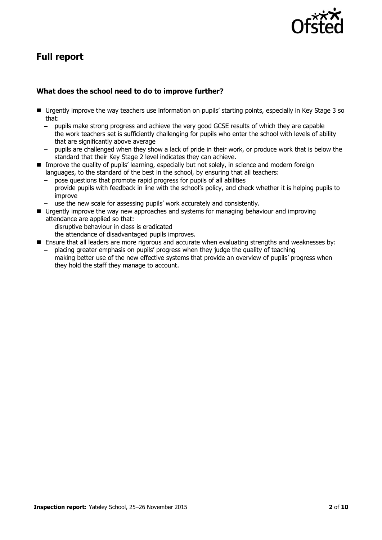

# **Full report**

#### **What does the school need to do to improve further?**

- Urgently improve the way teachers use information on pupils' starting points, especially in Key Stage 3 so that:
	- pupils make strong progress and achieve the very good GCSE results of which they are capable
	- the work teachers set is sufficiently challenging for pupils who enter the school with levels of ability that are significantly above average
	- $\frac{1}{2}$ pupils are challenged when they show a lack of pride in their work, or produce work that is below the standard that their Key Stage 2 level indicates they can achieve.
- **IMP** Improve the quality of pupils' learning, especially but not solely, in science and modern foreign languages, to the standard of the best in the school, by ensuring that all teachers:
	- pose questions that promote rapid progress for pupils of all abilities
	- provide pupils with feedback in line with the school's policy, and check whether it is helping pupils to improve
	- $\overline{\phantom{a}}$ use the new scale for assessing pupils' work accurately and consistently.
- **U** Urgently improve the way new approaches and systems for managing behaviour and improving attendance are applied so that:
	- disruptive behaviour in class is eradicated
	- the attendance of disadvantaged pupils improves.
- **E** Ensure that all leaders are more rigorous and accurate when evaluating strengths and weaknesses by:
	- $-$  placing greater emphasis on pupils' progress when they judge the quality of teaching
	- making better use of the new effective systems that provide an overview of pupils' progress when they hold the staff they manage to account.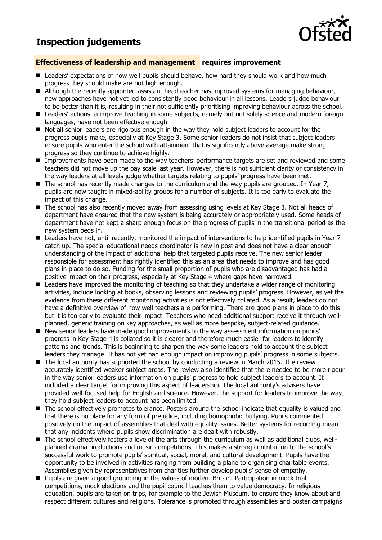## **Inspection judgements**



#### **Effectiveness of leadership and management requires improvement**

- **E** Leaders' expectations of how well pupils should behave, how hard they should work and how much progress they should make are not high enough.
- Although the recently appointed assistant headteacher has improved systems for managing behaviour, new approaches have not yet led to consistently good behaviour in all lessons. Leaders judge behaviour to be better than it is, resulting in their not sufficiently prioritising improving behaviour across the school.
- Leaders' actions to improve teaching in some subjects, namely but not solely science and modern foreign languages, have not been effective enough.
- $\blacksquare$  Not all senior leaders are rigorous enough in the way they hold subject leaders to account for the progress pupils make, especially at Key Stage 3. Some senior leaders do not insist that subject leaders ensure pupils who enter the school with attainment that is significantly above average make strong progress so they continue to achieve highly.
- **IMP** Improvements have been made to the way teachers' performance targets are set and reviewed and some teachers did not move up the pay scale last year. However, there is not sufficient clarity or consistency in the way leaders at all levels judge whether targets relating to pupils' progress have been met.
- The school has recently made changes to the curriculum and the way pupils are grouped. In Year 7, pupils are now taught in mixed-ability groups for a number of subjects. It is too early to evaluate the impact of this change.
- The school has also recently moved away from assessing using levels at Key Stage 3. Not all heads of department have ensured that the new system is being accurately or appropriately used. Some heads of department have not kept a sharp enough focus on the progress of pupils in the transitional period as the new system beds in.
- Leaders have not, until recently, monitored the impact of interventions to help identified pupils in Year 7 catch up. The special educational needs coordinator is new in post and does not have a clear enough understanding of the impact of additional help that targeted pupils receive. The new senior leader responsible for assessment has rightly identified this as an area that needs to improve and has good plans in place to do so. Funding for the small proportion of pupils who are disadvantaged has had a positive impact on their progress, especially at Key Stage 4 where gaps have narrowed.
- **E** Leaders have improved the monitoring of teaching so that they undertake a wider range of monitoring activities, include looking at books, observing lessons and reviewing pupils' progress. However, as yet the evidence from these different monitoring activities is not effectively collated. As a result, leaders do not have a definitive overview of how well teachers are performing. There are good plans in place to do this but it is too early to evaluate their impact. Teachers who need additional support receive it through wellplanned, generic training on key approaches, as well as more bespoke, subject-related guidance.
- New senior leaders have made good improvements to the way assessment information on pupils' progress in Key Stage 4 is collated so it is clearer and therefore much easier for leaders to identify patterns and trends. This is beginning to sharpen the way some leaders hold to account the subject leaders they manage. It has not yet had enough impact on improving pupils' progress in some subjects.
- The local authority has supported the school by conducting a review in March 2015. The review accurately identified weaker subject areas. The review also identified that there needed to be more rigour in the way senior leaders use information on pupils' progress to hold subject leaders to account. It included a clear target for improving this aspect of leadership. The local authority's advisers have provided well-focused help for English and science. However, the support for leaders to improve the way they hold subject leaders to account has been limited.
- The school effectively promotes tolerance. Posters around the school indicate that equality is valued and that there is no place for any form of prejudice, including homophobic bullying. Pupils commented positively on the impact of assemblies that deal with equality issues. Better systems for recording mean that any incidents where pupils show discrimination are dealt with robustly.
- The school effectively fosters a love of the arts through the curriculum as well as additional clubs, wellplanned drama productions and music competitions. This makes a strong contribution to the school's successful work to promote pupils' spiritual, social, moral, and cultural development. Pupils have the opportunity to be involved in activities ranging from building a plane to organising charitable events. Assemblies given by representatives from charities further develop pupils' sense of empathy.
- Pupils are given a good grounding in the values of modern Britain. Participation in mock trial competitions, mock elections and the pupil council teaches them to value democracy. In religious education, pupils are taken on trips, for example to the Jewish Museum, to ensure they know about and respect different cultures and religions. Tolerance is promoted through assemblies and poster campaigns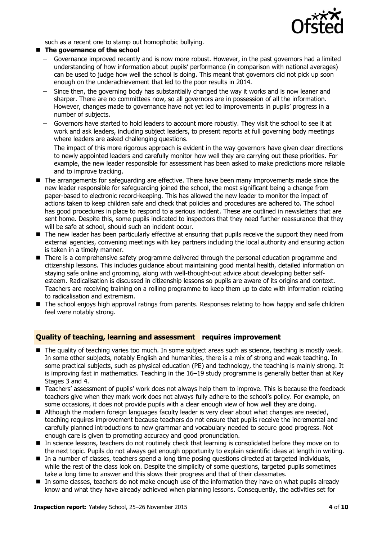

such as a recent one to stamp out homophobic bullying.

#### **The governance of the school**

- Governance improved recently and is now more robust. However, in the past governors had a limited  $\sim$ understanding of how information about pupils' performance (in comparison with national averages) can be used to judge how well the school is doing. This meant that governors did not pick up soon enough on the underachievement that led to the poor results in 2014.
- Since then, the governing body has substantially changed the way it works and is now leaner and  $\sim$ sharper. There are no committees now, so all governors are in possession of all the information. However, changes made to governance have not yet led to improvements in pupils' progress in a number of subjects.
- Governors have started to hold leaders to account more robustly. They visit the school to see it at  $\overline{\phantom{0}}$ work and ask leaders, including subject leaders, to present reports at full governing body meetings where leaders are asked challenging questions.
- The impact of this more rigorous approach is evident in the way governors have given clear directions to newly appointed leaders and carefully monitor how well they are carrying out these priorities. For example, the new leader responsible for assessment has been asked to make predictions more reliable and to improve tracking.
- The arrangements for safeguarding are effective. There have been many improvements made since the new leader responsible for safeguarding joined the school, the most significant being a change from paper-based to electronic record-keeping. This has allowed the new leader to monitor the impact of actions taken to keep children safe and check that policies and procedures are adhered to. The school has good procedures in place to respond to a serious incident. These are outlined in newsletters that are sent home. Despite this, some pupils indicated to inspectors that they need further reassurance that they will be safe at school, should such an incident occur.
- The new leader has been particularly effective at ensuring that pupils receive the support they need from external agencies, convening meetings with key partners including the local authority and ensuring action is taken in a timely manner.
- There is a comprehensive safety programme delivered through the personal education programme and citizenship lessons. This includes guidance about maintaining good mental health, detailed information on staying safe online and grooming, along with well-thought-out advice about developing better selfesteem. Radicalisation is discussed in citizenship lessons so pupils are aware of its origins and context. Teachers are receiving training on a rolling programme to keep them up to date with information relating to radicalisation and extremism.
- The school enjoys high approval ratings from parents. Responses relating to how happy and safe children feel were notably strong.

#### **Quality of teaching, learning and assessment requires improvement**

- The quality of teaching varies too much. In some subject areas such as science, teaching is mostly weak. In some other subjects, notably English and humanities, there is a mix of strong and weak teaching. In some practical subjects, such as physical education (PE) and technology, the teaching is mainly strong. It is improving fast in mathematics. Teaching in the 16–19 study programme is generally better than at Key Stages 3 and 4.
- **Teachers' assessment of pupils' work does not always help them to improve. This is because the feedback** teachers give when they mark work does not always fully adhere to the school's policy. For example, on some occasions, it does not provide pupils with a clear enough view of how well they are doing.
- Although the modern foreign languages faculty leader is very clear about what changes are needed, teaching requires improvement because teachers do not ensure that pupils receive the incremental and carefully planned introductions to new grammar and vocabulary needed to secure good progress. Not enough care is given to promoting accuracy and good pronunciation.
- In science lessons, teachers do not routinely check that learning is consolidated before they move on to the next topic. Pupils do not always get enough opportunity to explain scientific ideas at length in writing.
- In a number of classes, teachers spend a long time posing questions directed at targeted individuals, while the rest of the class look on. Despite the simplicity of some questions, targeted pupils sometimes take a long time to answer and this slows their progress and that of their classmates.
- In some classes, teachers do not make enough use of the information they have on what pupils already know and what they have already achieved when planning lessons. Consequently, the activities set for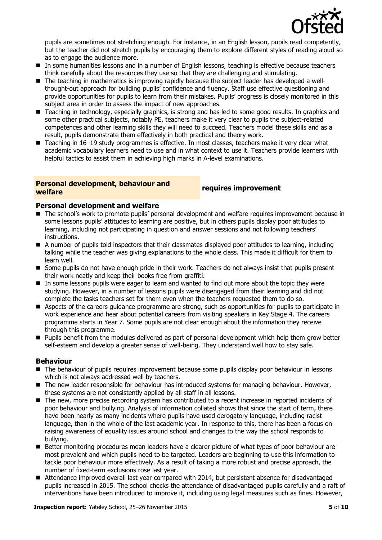

pupils are sometimes not stretching enough. For instance, in an English lesson, pupils read competently, but the teacher did not stretch pupils by encouraging them to explore different styles of reading aloud so as to engage the audience more.

- In some humanities lessons and in a number of English lessons, teaching is effective because teachers think carefully about the resources they use so that they are challenging and stimulating.
- The teaching in mathematics is improving rapidly because the subject leader has developed a wellthought-out approach for building pupils' confidence and fluency. Staff use effective questioning and provide opportunities for pupils to learn from their mistakes. Pupils' progress is closely monitored in this subject area in order to assess the impact of new approaches.
- Teaching in technology, especially graphics, is strong and has led to some good results. In graphics and some other practical subjects, notably PE, teachers make it very clear to pupils the subject-related competences and other learning skills they will need to succeed. Teachers model these skills and as a result, pupils demonstrate them effectively in both practical and theory work.
- Teaching in 16–19 study programmes is effective. In most classes, teachers make it very clear what academic vocabulary learners need to use and in what context to use it. Teachers provide learners with helpful tactics to assist them in achieving high marks in A-level examinations.

#### **Personal development, behaviour and welfare requires improvement**

#### **Personal development and welfare**

- The school's work to promote pupils' personal development and welfare requires improvement because in some lessons pupils' attitudes to learning are positive, but in others pupils display poor attitudes to learning, including not participating in question and answer sessions and not following teachers' instructions.
- A number of pupils told inspectors that their classmates displayed poor attitudes to learning, including talking while the teacher was giving explanations to the whole class. This made it difficult for them to learn well.
- **Some pupils do not have enough pride in their work. Teachers do not always insist that pupils present** their work neatly and keep their books free from graffiti.
- In some lessons pupils were eager to learn and wanted to find out more about the topic they were studying. However, in a number of lessons pupils were disengaged from their learning and did not complete the tasks teachers set for them even when the teachers requested them to do so.
- Aspects of the careers quidance programme are strong, such as opportunities for pupils to participate in work experience and hear about potential careers from visiting speakers in Key Stage 4. The careers programme starts in Year 7. Some pupils are not clear enough about the information they receive through this programme.
- **Pupils benefit from the modules delivered as part of personal development which help them grow better** self-esteem and develop a greater sense of well-being. They understand well how to stay safe.

#### **Behaviour**

- The behaviour of pupils requires improvement because some pupils display poor behaviour in lessons which is not always addressed well by teachers.
- The new leader responsible for behaviour has introduced systems for managing behaviour. However, these systems are not consistently applied by all staff in all lessons.
- The new, more precise recording system has contributed to a recent increase in reported incidents of poor behaviour and bullying. Analysis of information collated shows that since the start of term, there have been nearly as many incidents where pupils have used derogatory language, including racist language, than in the whole of the last academic year. In response to this, there has been a focus on raising awareness of equality issues around school and changes to the way the school responds to bullying.
- Better monitoring procedures mean leaders have a clearer picture of what types of poor behaviour are most prevalent and which pupils need to be targeted. Leaders are beginning to use this information to tackle poor behaviour more effectively. As a result of taking a more robust and precise approach, the number of fixed-term exclusions rose last year.
- Attendance improved overall last year compared with 2014, but persistent absence for disadvantaged pupils increased in 2015. The school checks the attendance of disadvantaged pupils carefully and a raft of interventions have been introduced to improve it, including using legal measures such as fines. However,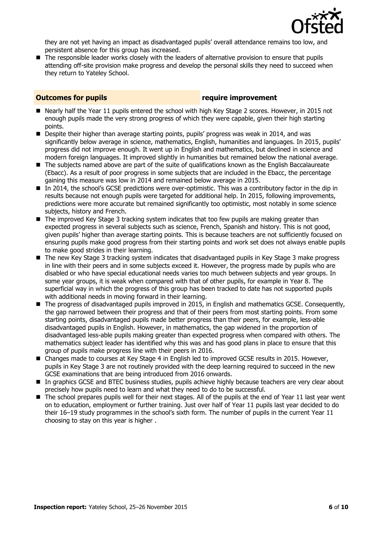

they are not yet having an impact as disadvantaged pupils' overall attendance remains too low, and persistent absence for this group has increased.

■ The responsible leader works closely with the leaders of alternative provision to ensure that pupils attending off-site provision make progress and develop the personal skills they need to succeed when they return to Yateley School.

#### **Outcomes for pupils require improvement**

- Nearly half the Year 11 pupils entered the school with high Key Stage 2 scores. However, in 2015 not enough pupils made the very strong progress of which they were capable, given their high starting points.
- **Despite their higher than average starting points, pupils' progress was weak in 2014, and was** significantly below average in science, mathematics, English, humanities and languages. In 2015, pupils' progress did not improve enough. It went up in English and mathematics, but declined in science and modern foreign languages. It improved slightly in humanities but remained below the national average.
- The subjects named above are part of the suite of qualifications known as the English Baccalaureate (Ebacc). As a result of poor progress in some subjects that are included in the Ebacc, the percentage gaining this measure was low in 2014 and remained below average in 2015.
- In 2014, the school's GCSE predictions were over-optimistic. This was a contributory factor in the dip in results because not enough pupils were targeted for additional help. In 2015, following improvements, predictions were more accurate but remained significantly too optimistic, most notably in some science subjects, history and French.
- $\blacksquare$  The improved Key Stage 3 tracking system indicates that too few pupils are making greater than expected progress in several subjects such as science, French, Spanish and history. This is not good, given pupils' higher than average starting points. This is because teachers are not sufficiently focused on ensuring pupils make good progress from their starting points and work set does not always enable pupils to make good strides in their learning.
- The new Key Stage 3 tracking system indicates that disadvantaged pupils in Key Stage 3 make progress in line with their peers and in some subjects exceed it. However, the progress made by pupils who are disabled or who have special educational needs varies too much between subjects and year groups. In some year groups, it is weak when compared with that of other pupils, for example in Year 8. The superficial way in which the progress of this group has been tracked to date has not supported pupils with additional needs in moving forward in their learning.
- The progress of disadvantaged pupils improved in 2015, in English and mathematics GCSE. Consequently, the gap narrowed between their progress and that of their peers from most starting points. From some starting points, disadvantaged pupils made better progress than their peers, for example, less-able disadvantaged pupils in English. However, in mathematics, the gap widened in the proportion of disadvantaged less-able pupils making greater than expected progress when compared with others. The mathematics subject leader has identified why this was and has good plans in place to ensure that this group of pupils make progress line with their peers in 2016.
- Changes made to courses at Key Stage 4 in English led to improved GCSE results in 2015. However, pupils in Key Stage 3 are not routinely provided with the deep learning required to succeed in the new GCSE examinations that are being introduced from 2016 onwards.
- **In graphics GCSE and BTEC business studies, pupils achieve highly because teachers are very clear about about** precisely how pupils need to learn and what they need to do to be successful.
- The school prepares pupils well for their next stages. All of the pupils at the end of Year 11 last year went on to education, employment or further training. Just over half of Year 11 pupils last year decided to do their 16–19 study programmes in the school's sixth form. The number of pupils in the current Year 11 choosing to stay on this year is higher .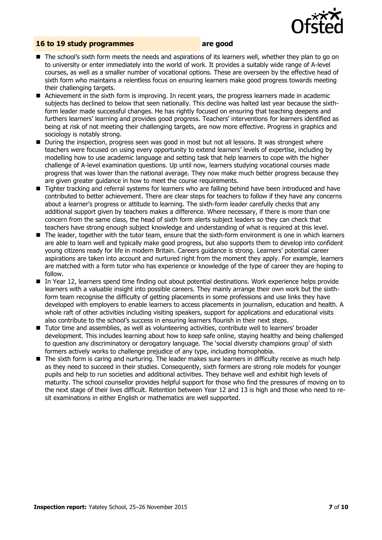

#### **16 to 19 study programmes are good**

- The school's sixth form meets the needs and aspirations of its learners well, whether they plan to go on to university or enter immediately into the world of work. It provides a suitably wide range of A-level courses, as well as a smaller number of vocational options. These are overseen by the effective head of sixth form who maintains a relentless focus on ensuring learners make good progress towards meeting their challenging targets.
- Achievement in the sixth form is improving. In recent years, the progress learners made in academic subjects has declined to below that seen nationally. This decline was halted last year because the sixthform leader made successful changes. He has rightly focused on ensuring that teaching deepens and furthers learners' learning and provides good progress. Teachers' interventions for learners identified as being at risk of not meeting their challenging targets, are now more effective. Progress in graphics and sociology is notably strong.
- During the inspection, progress seen was good in most but not all lessons. It was strongest where teachers were focused on using every opportunity to extend learners' levels of expertise, including by modelling how to use academic language and setting task that help learners to cope with the higher challenge of A-level examination questions. Up until now, learners studying vocational courses made progress that was lower than the national average. They now make much better progress because they are given greater guidance in how to meet the course requirements.
- Tighter tracking and referral systems for learners who are falling behind have been introduced and have contributed to better achievement. There are clear steps for teachers to follow if they have any concerns about a learner's progress or attitude to learning. The sixth-form leader carefully checks that any additional support given by teachers makes a difference. Where necessary, if there is more than one concern from the same class, the head of sixth form alerts subject leaders so they can check that teachers have strong enough subject knowledge and understanding of what is required at this level.
- The leader, together with the tutor team, ensure that the sixth-form environment is one in which learners are able to learn well and typically make good progress, but also supports them to develop into confident young citizens ready for life in modern Britain. Careers guidance is strong. Learners' potential career aspirations are taken into account and nurtured right from the moment they apply. For example, learners are matched with a form tutor who has experience or knowledge of the type of career they are hoping to follow.
- In Year 12, learners spend time finding out about potential destinations. Work experience helps provide learners with a valuable insight into possible careers. They mainly arrange their own work but the sixthform team recognise the difficulty of getting placements in some professions and use links they have developed with employers to enable learners to access placements in journalism, education and health. A whole raft of other activities including visiting speakers, support for applications and educational visits also contribute to the school's success in ensuring learners flourish in their next steps.
- Tutor time and assemblies, as well as volunteering activities, contribute well to learners' broader development. This includes learning about how to keep safe online, staying healthy and being challenged to question any discriminatory or derogatory language. The 'social diversity champions group' of sixth formers actively works to challenge prejudice of any type, including homophobia.
- The sixth form is caring and nurturing. The leader makes sure learners in difficulty receive as much help as they need to succeed in their studies. Consequently, sixth formers are strong role models for younger pupils and help to run societies and additional activities. They behave well and exhibit high levels of maturity. The school counsellor provides helpful support for those who find the pressures of moving on to the next stage of their lives difficult. Retention between Year 12 and 13 is high and those who need to resit examinations in either English or mathematics are well supported.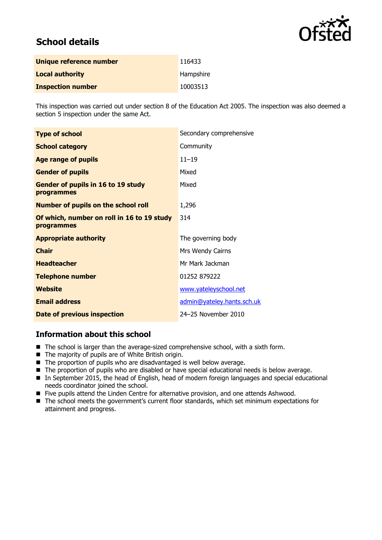

# **School details**

| Unique reference number  | 116433    |
|--------------------------|-----------|
| <b>Local authority</b>   | Hampshire |
| <b>Inspection number</b> | 10003513  |

This inspection was carried out under section 8 of the Education Act 2005. The inspection was also deemed a section 5 inspection under the same Act.

| <b>Type of school</b>                                    | Secondary comprehensive    |
|----------------------------------------------------------|----------------------------|
| <b>School category</b>                                   | Community                  |
| <b>Age range of pupils</b>                               | $11 - 19$                  |
| <b>Gender of pupils</b>                                  | Mixed                      |
| Gender of pupils in 16 to 19 study<br>programmes         | Mixed                      |
| <b>Number of pupils on the school roll</b>               | 1,296                      |
| Of which, number on roll in 16 to 19 study<br>programmes | 314                        |
| <b>Appropriate authority</b>                             | The governing body         |
| <b>Chair</b>                                             | Mrs Wendy Cairns           |
| <b>Headteacher</b>                                       | Mr Mark Jackman            |
| <b>Telephone number</b>                                  | 01252 879222               |
| Website                                                  | www.yateleyschool.net      |
| <b>Email address</b>                                     | admin@yateley.hants.sch.uk |
| Date of previous inspection                              | 24-25 November 2010        |

#### **Information about this school**

- The school is larger than the average-sized comprehensive school, with a sixth form.
- The majority of pupils are of White British origin.
- The proportion of pupils who are disadvantaged is well below average.
- The proportion of pupils who are disabled or have special educational needs is below average.
- In September 2015, the head of English, head of modern foreign languages and special educational needs coordinator joined the school.
- Five pupils attend the Linden Centre for alternative provision, and one attends Ashwood.
- The school meets the government's current floor standards, which set minimum expectations for attainment and progress.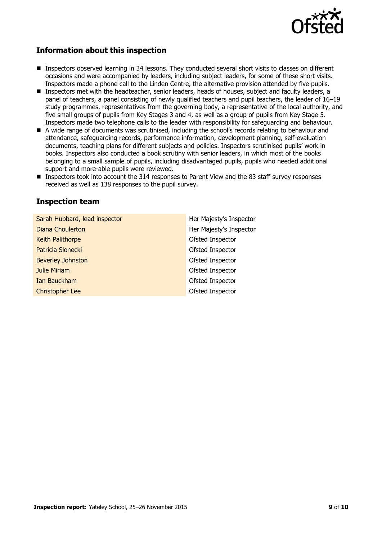

### **Information about this inspection**

- Inspectors observed learning in 34 lessons. They conducted several short visits to classes on different occasions and were accompanied by leaders, including subject leaders, for some of these short visits. Inspectors made a phone call to the Linden Centre, the alternative provision attended by five pupils.
- **Inspectors met with the headteacher, senior leaders, heads of houses, subject and faculty leaders, a** panel of teachers, a panel consisting of newly qualified teachers and pupil teachers, the leader of 16–19 study programmes, representatives from the governing body, a representative of the local authority, and five small groups of pupils from Key Stages 3 and 4, as well as a group of pupils from Key Stage 5. Inspectors made two telephone calls to the leader with responsibility for safeguarding and behaviour.
- A wide range of documents was scrutinised, including the school's records relating to behaviour and attendance, safeguarding records, performance information, development planning, self-evaluation documents, teaching plans for different subjects and policies. Inspectors scrutinised pupils' work in books. Inspectors also conducted a book scrutiny with senior leaders, in which most of the books belonging to a small sample of pupils, including disadvantaged pupils, pupils who needed additional support and more-able pupils were reviewed.
- Inspectors took into account the 314 responses to Parent View and the 83 staff survey responses received as well as 138 responses to the pupil survey.

#### **Inspection team**

| Sarah Hubbard, lead inspector | Her Majesty's Inspector |
|-------------------------------|-------------------------|
| Diana Choulerton              | Her Majesty's Inspector |
| Keith Palithorpe              | Ofsted Inspector        |
| Patricia Slonecki             | Ofsted Inspector        |
| <b>Beverley Johnston</b>      | Ofsted Inspector        |
| <b>Julie Miriam</b>           | Ofsted Inspector        |
| Ian Bauckham                  | Ofsted Inspector        |
| <b>Christopher Lee</b>        | Ofsted Inspector        |